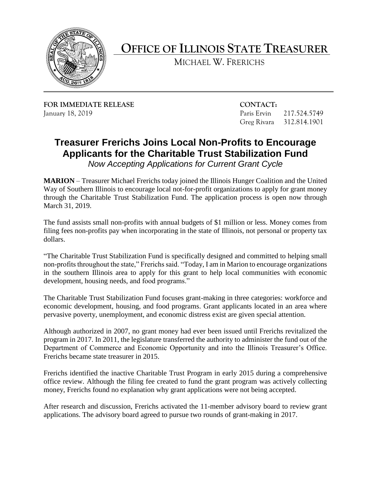

## **OFFICE OF ILLINOIS STATE TREASURER**

MICHAEL W. FRERICHS

**FOR IMMEDIATE RELEASE CONTACT:**  January 18, 2019 Paris Ervin 217.524.5749

Greg Rivara 312.814.1901

## **Treasurer Frerichs Joins Local Non-Profits to Encourage Applicants for the Charitable Trust Stabilization Fund**

 *Now Accepting Applications for Current Grant Cycle* 

**MARION** – Treasurer Michael Frerichs today joined the Illinois Hunger Coalition and the United Way of Southern Illinois to encourage local not-for-profit organizations to apply for grant money through the Charitable Trust Stabilization Fund. The application process is open now through March 31, 2019.

 The fund assists small non-profits with annual budgets of \$1 million or less. Money comes from filing fees non-profits pay when incorporating in the state of Illinois, not personal or property tax dollars.

 non-profits throughout the state," Frerichs said. "Today, I am in Marion to encourage organizations in the southern Illinois area to apply for this grant to help local communities with economic "The Charitable Trust Stabilization Fund is specifically designed and committed to helping small development, housing needs, and food programs."

 The Charitable Trust Stabilization Fund focuses grant-making in three categories: workforce and economic development, housing, and food programs. Grant applicants located in an area where pervasive poverty, unemployment, and economic distress exist are given special attention.

 Although authorized in 2007, no grant money had ever been issued until Frerichs revitalized the program in 2017. In 2011, the legislature transferred the authority to administer the fund out of the Department of Commerce and Economic Opportunity and into the Illinois Treasurer's Office. Frerichs became state treasurer in 2015.

 Frerichs identified the inactive Charitable Trust Program in early 2015 during a comprehensive office review. Although the filing fee created to fund the grant program was actively collecting money, Frerichs found no explanation why grant applications were not being accepted.

 After research and discussion, Frerichs activated the 11-member advisory board to review grant applications. The advisory board agreed to pursue two rounds of grant-making in 2017.